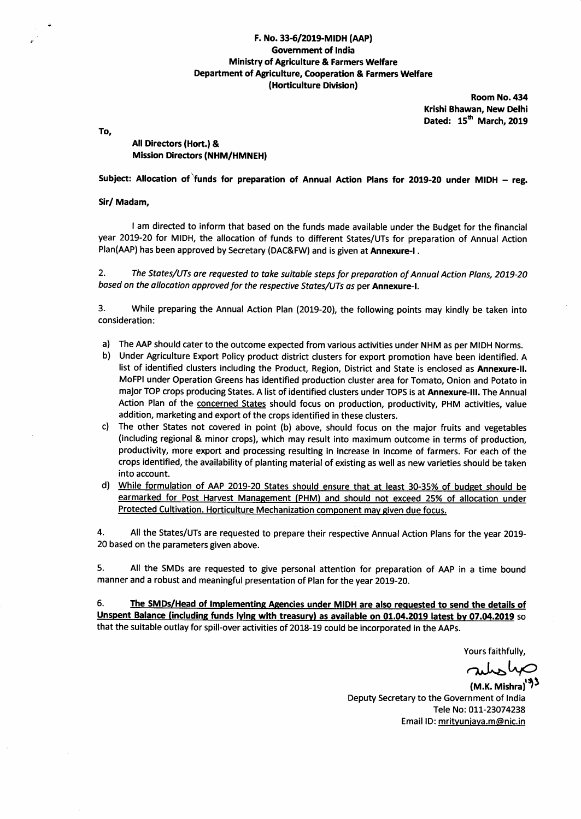### F. No. 33-6/2019-MIDH (AAP) **Government of India Ministry of Agriculture & Farmers Welfare** Department of Agriculture, Cooperation & Farmers Welfare (Horticulture Division)

Room No. 434 Krishi Bhawan, New Delhi Dated: 15<sup>th</sup> March, 2019

To,

### All Directors (Hort.) & **Mission Directors (NHM/HMNEH)**

Subject: Allocation of funds for preparation of Annual Action Plans for 2019-20 under MIDH – reg.

#### Sir/ Madam,

I am directed to inform that based on the funds made available under the Budget for the financial year 2019-20 for MIDH, the allocation of funds to different States/UTs for preparation of Annual Action Plan(AAP) has been approved by Secretary (DAC&FW) and is given at Annexure-I.

 $2.$ The States/UTs are requested to take suitable steps for preparation of Annual Action Plans, 2019-20 based on the allocation approved for the respective States/UTs as per Annexure-I.

 $3.$ While preparing the Annual Action Plan (2019-20), the following points may kindly be taken into consideration:

- a) The AAP should cater to the outcome expected from various activities under NHM as per MIDH Norms.
- b) Under Agriculture Export Policy product district clusters for export promotion have been identified. A list of identified clusters including the Product, Region, District and State is enclosed as Annexure-II. MoFPI under Operation Greens has identified production cluster area for Tomato, Onion and Potato in major TOP crops producing States. A list of identified clusters under TOPS is at Annexure-III. The Annual Action Plan of the concerned States should focus on production, productivity, PHM activities, value addition, marketing and export of the crops identified in these clusters.
- c) The other States not covered in point (b) above, should focus on the major fruits and vegetables (including regional & minor crops), which may result into maximum outcome in terms of production, productivity, more export and processing resulting in increase in income of farmers. For each of the crops identified, the availability of planting material of existing as well as new varieties should be taken into account.
- d) While formulation of AAP 2019-20 States should ensure that at least 30-35% of budget should be earmarked for Post Harvest Management (PHM) and should not exceed 25% of allocation under Protected Cultivation. Horticulture Mechanization component may given due focus.

4. All the States/UTs are requested to prepare their respective Annual Action Plans for the year 2019-20 based on the parameters given above.

5. All the SMDs are requested to give personal attention for preparation of AAP in a time bound manner and a robust and meaningful presentation of Plan for the year 2019-20.

6. The SMDs/Head of Implementing Agencies under MIDH are also requested to send the details of Unspent Balance (including funds lying with treasury) as available on 01.04.2019 latest by 07.04.2019 so that the suitable outlay for spill-over activities of 2018-19 could be incorporated in the AAPs.

Yours faithfully,

subsho

(M.K. Mishra) $^{19}$ Deputy Secretary to the Government of India Tele No: 011-23074238 Email ID: mrityunjaya.m@nic.in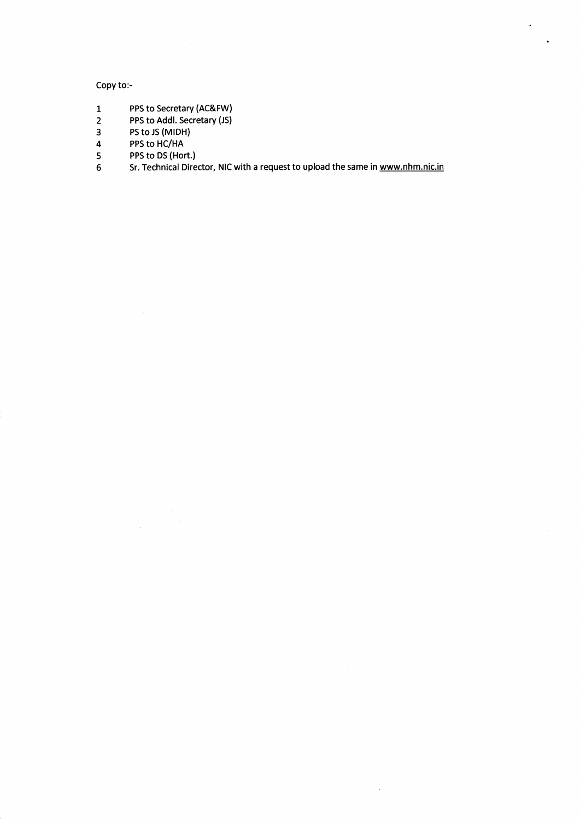### Copy to:-

- 1 PPS to Secretary (AC&FW)
- 2 PPS to Addl. Secretary (JS)
- 3 PS to JS (MIDH)
- 4 PPS to HC/HA
- 5 PPS to DS (Hort.)
- 6 Sr. Technical Director, NIC with a request to upload the same in www.nhm.nic.in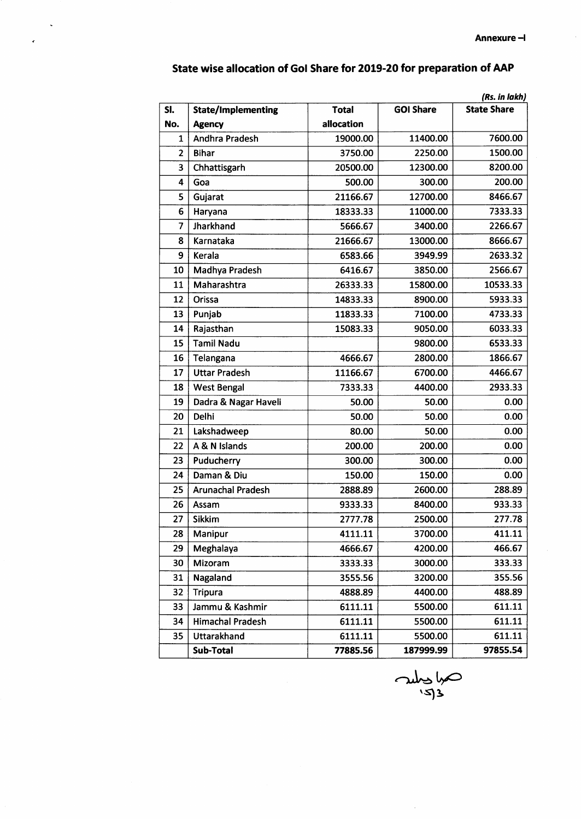$\bar{\mathcal{A}}$ 

|                         |                           |              |                  | (Rs. in lakh)      |
|-------------------------|---------------------------|--------------|------------------|--------------------|
| SI.                     | <b>State/Implementing</b> | <b>Total</b> | <b>GOI Share</b> | <b>State Share</b> |
| No.                     | <b>Agency</b>             | allocation   |                  |                    |
| $\mathbf{1}$            | <b>Andhra Pradesh</b>     | 19000.00     | 11400.00         | 7600.00            |
| $\overline{2}$          | <b>Bihar</b>              | 3750.00      | 2250.00          | 1500.00            |
| 3                       | Chhattisgarh              | 20500.00     | 12300.00         | 8200.00            |
| $\overline{\mathbf{4}}$ | Goa                       | 500.00       | 300.00           | 200.00             |
| 5                       | Gujarat                   | 21166.67     | 12700.00         | 8466.67            |
| 6                       | Haryana                   | 18333.33     | 11000.00         | 7333.33            |
| $\overline{7}$          | Jharkhand                 | 5666.67      | 3400.00          | 2266.67            |
| 8                       | Karnataka                 | 21666.67     | 13000.00         | 8666.67            |
| 9                       | Kerala                    | 6583.66      | 3949.99          | 2633.32            |
| 10                      | Madhya Pradesh            | 6416.67      | 3850.00          | 2566.67            |
| 11                      | Maharashtra               | 26333.33     | 15800.00         | 10533.33           |
| 12                      | Orissa                    | 14833.33     | 8900.00          | 5933.33            |
| 13                      | Punjab                    | 11833.33     | 7100.00          | 4733.33            |
| 14                      | Rajasthan                 | 15083.33     | 9050.00          | 6033.33            |
| 15                      | <b>Tamil Nadu</b>         |              | 9800.00          | 6533.33            |
| 16                      | Telangana                 | 4666.67      | 2800.00          | 1866.67            |
| 17                      | <b>Uttar Pradesh</b>      | 11166.67     | 6700.00          | 4466.67            |
| 18                      | <b>West Bengal</b>        | 7333.33      | 4400.00          | 2933.33            |
| 19                      | Dadra & Nagar Haveli      | 50.00        | 50.00            | 0.00               |
| 20                      | Delhi                     | 50.00        | 50.00            | 0.00               |
| 21                      | Lakshadweep               | 80.00        | 50.00            | 0.00               |
| 22                      | A & N Islands             | 200.00       | 200.00           | 0.00               |
| 23                      | Puducherry                | 300.00       | 300.00           | 0.00               |
| 24                      | Daman & Diu               | 150.00       | 150.00           | 0.00               |
| 25                      | <b>Arunachal Pradesh</b>  | 2888.89      | 2600.00          | 288.89             |
| 26                      | Assam                     | 9333.33      | 8400.00          | 933.33             |
| 27                      | <b>Sikkim</b>             | 2777.78      | 2500.00          | 277.78             |
| 28                      | Manipur                   | 4111.11      | 3700.00          | 411.11             |
| 29                      | Meghalaya                 | 4666.67      | 4200.00          | 466.67             |
| 30                      | Mizoram                   | 3333.33      | 3000.00          | 333.33             |
| 31                      | Nagaland                  | 3555.56      | 3200.00          | 355.56             |
| 32                      | <b>Tripura</b>            | 4888.89      | 4400.00          | 488.89             |
| 33                      | Jammu & Kashmir           | 6111.11      | 5500.00          | 611.11             |
| 34                      | <b>Himachal Pradesh</b>   | 6111.11      | 5500.00          | 611.11             |
| 35                      | Uttarakhand               | 6111.11      | 5500.00          | 611.11             |
|                         | Sub-Total                 | 77885.56     | 187999.99        | 97855.54           |

## State wise allocation of Gol Share for 2019-20 for preparation of AAP

J.

July 4 '93

 $\hat{\mathcal{A}}$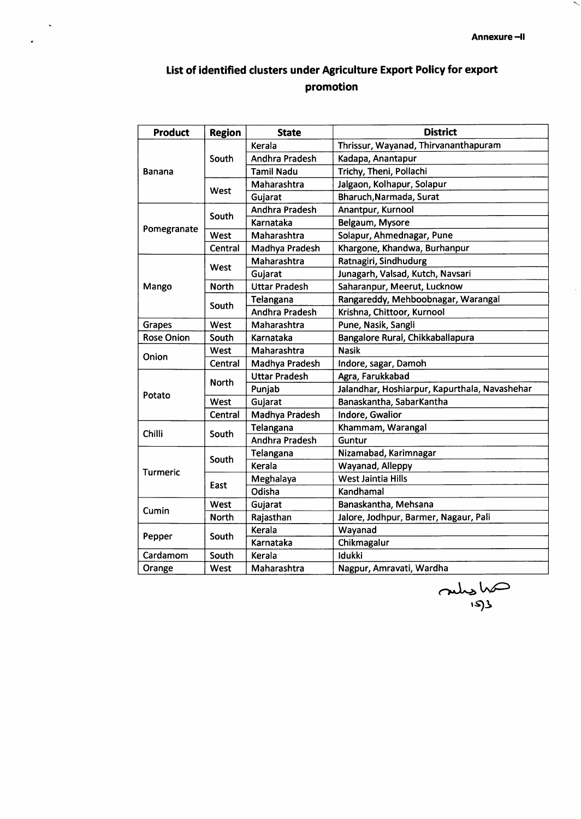# List of identified clusters under Agriculture Export Policy for export promotion

 $\hat{\mathbf{v}}$ 

| Product           | <b>Region</b> | <b>State</b>          | <b>District</b>                               |  |
|-------------------|---------------|-----------------------|-----------------------------------------------|--|
|                   |               | Kerala                | Thrissur, Wayanad, Thirvananthapuram          |  |
|                   | South         | Andhra Pradesh        | Kadapa, Anantapur                             |  |
| Banana            |               | <b>Tamil Nadu</b>     | Trichy, Theni, Pollachi                       |  |
|                   |               | Maharashtra           | Jalgaon, Kolhapur, Solapur                    |  |
|                   | West          | Gujarat               | Bharuch, Narmada, Surat                       |  |
|                   | South         | <b>Andhra Pradesh</b> | Anantpur, Kurnool                             |  |
|                   |               | Karnataka             | Belgaum, Mysore                               |  |
| Pomegranate       | West          | Maharashtra           | Solapur, Ahmednagar, Pune                     |  |
|                   | Central       | Madhya Pradesh        | Khargone, Khandwa, Burhanpur                  |  |
|                   | West          | Maharashtra           | Ratnagiri, Sindhudurg                         |  |
|                   |               | Gujarat               | Junagarh, Valsad, Kutch, Navsari              |  |
| Mango             | <b>North</b>  | <b>Uttar Pradesh</b>  | Saharanpur, Meerut, Lucknow                   |  |
|                   | South         | Telangana             | Rangareddy, Mehboobnagar, Warangal            |  |
|                   |               | Andhra Pradesh        | Krishna, Chittoor, Kurnool                    |  |
| <b>Grapes</b>     | West          | Maharashtra           | Pune, Nasik, Sangli                           |  |
| <b>Rose Onion</b> | South         | Karnataka             | Bangalore Rural, Chikkaballapura              |  |
| Onion             | West          | Maharashtra           | <b>Nasik</b>                                  |  |
|                   | Central       | Madhya Pradesh        | Indore, sagar, Damoh                          |  |
|                   | <b>North</b>  | <b>Uttar Pradesh</b>  | Agra, Farukkabad                              |  |
| Potato            |               | Punjab                | Jalandhar, Hoshiarpur, Kapurthala, Navashehar |  |
|                   | West          | Gujarat               | Banaskantha, SabarKantha                      |  |
|                   | Central       | Madhya Pradesh        | Indore, Gwalior                               |  |
| Chilli            | South         | Telangana             | Khammam, Warangal                             |  |
|                   |               | Andhra Pradesh        | Guntur                                        |  |
|                   | South         | Telangana             | Nizamabad, Karimnagar                         |  |
| <b>Turmeric</b>   |               | Kerala                | Wayanad, Alleppy                              |  |
|                   | East          | Meghalaya             | <b>West Jaintia Hills</b>                     |  |
|                   |               | Odisha                | Kandhamal                                     |  |
| Cumin             | West          | Gujarat               | Banaskantha, Mehsana                          |  |
|                   | <b>North</b>  | Rajasthan             | Jalore, Jodhpur, Barmer, Nagaur, Pali         |  |
| Pepper            | South         | Kerala                | Wayanad                                       |  |
|                   |               | Karnataka             | Chikmagalur                                   |  |
| Cardamom          | South         | Kerala                | Idukki                                        |  |
| West<br>Orange    |               | Maharashtra           | Nagpur, Amravati, Wardha                      |  |

and slow